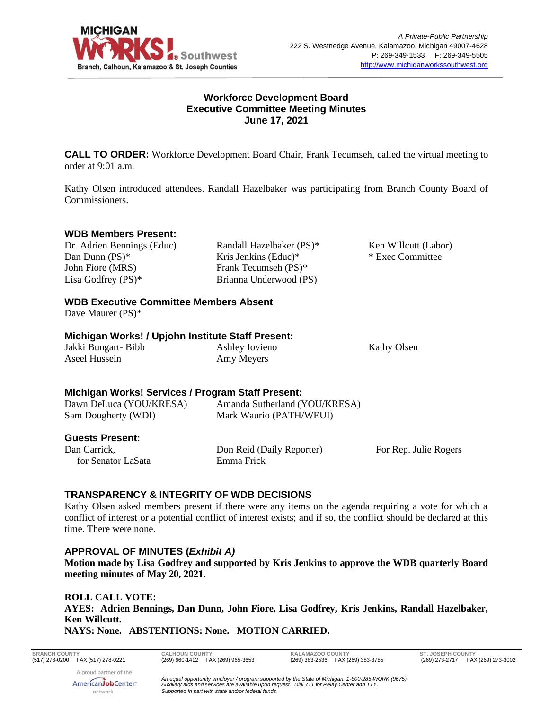

## **Workforce Development Board Executive Committee Meeting Minutes June 17, 2021**

**CALL TO ORDER:** Workforce Development Board Chair, Frank Tecumseh, called the virtual meeting to order at 9:01 a.m.

Kathy Olsen introduced attendees. Randall Hazelbaker was participating from Branch County Board of Commissioners.

### **WDB Members Present:**

Dr. Adrien Bennings (Educ) Dan Dunn (PS)\* John Fiore (MRS) Lisa Godfrey (PS)\*

Randall Hazelbaker (PS)\* Kris Jenkins (Educ)\* Frank Tecumseh (PS)\* Brianna Underwood (PS)

Ken Willcutt (Labor) \* Exec Committee

## **WDB Executive Committee Members Absent**

Dave Maurer (PS)\*

### **Michigan Works! / Upjohn Institute Staff Present:**

Jakki Bungart- Bibb Aseel Hussein

Ashley Iovieno Amy Meyers

Kathy Olsen

## **Michigan Works! Services / Program Staff Present:**

| Dawn DeLuca (YOU/KRESA) | Amanda Sutherland (YOU/KRESA) |                       |
|-------------------------|-------------------------------|-----------------------|
| Sam Dougherty (WDI)     | Mark Waurio (PATH/WEUI)       |                       |
| <b>Guests Present:</b>  |                               |                       |
| Dan Carrick,            | Don Reid (Daily Reporter)     | For Rep. Julie Rogers |
| for Senator LaSata      | Emma Frick                    |                       |

## **TRANSPARENCY & INTEGRITY OF WDB DECISIONS**

Kathy Olsen asked members present if there were any items on the agenda requiring a vote for which a conflict of interest or a potential conflict of interest exists; and if so, the conflict should be declared at this time. There were none.

### **APPROVAL OF MINUTES (***Exhibit A)*

**Motion made by Lisa Godfrey and supported by Kris Jenkins to approve the WDB quarterly Board meeting minutes of May 20, 2021.**

**ROLL CALL VOTE: AYES: Adrien Bennings, Dan Dunn, John Fiore, Lisa Godfrey, Kris Jenkins, Randall Hazelbaker, Ken Willcutt. NAYS: None. ABSTENTIONS: None. MOTION CARRIED.**

**BRANCH COUNTY CALHOUN COUNTY KALAMAZOO COUNTY ST. JOSEPH COUNTY**

(269) 273-2717 FAX (269) 273-3002

A proud partner of the AmericanJobCenter<sup>®</sup> network

*An equal opportunity employer / program supported by the State of Michigan. 1-800-285-WORK (9675). Auxiliary aids and services are available upon request. Dial 711 for Relay Center and TTY. Supported in part with state and/or federal funds.*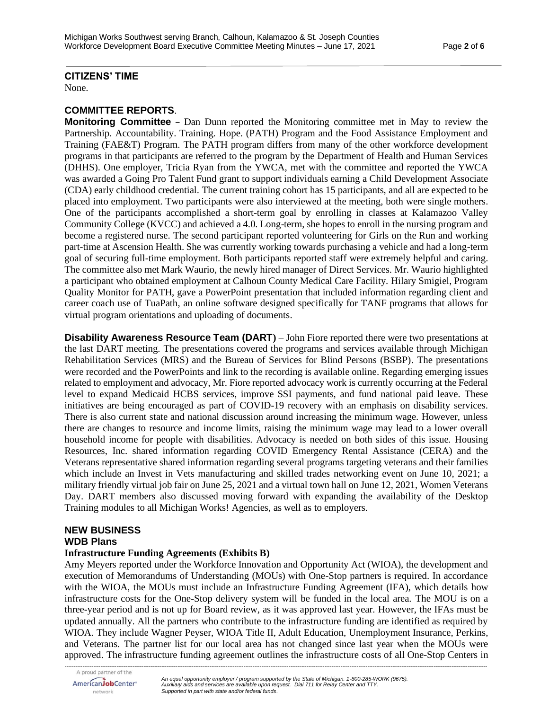## **CITIZENS' TIME**

None.

## **COMMITTEE REPORTS**.

**Monitoring Committee** – Dan Dunn reported the Monitoring committee met in May to review the Partnership. Accountability. Training. Hope. (PATH) Program and the Food Assistance Employment and Training (FAE&T) Program. The PATH program differs from many of the other workforce development programs in that participants are referred to the program by the Department of Health and Human Services (DHHS). One employer, Tricia Ryan from the YWCA, met with the committee and reported the YWCA was awarded a Going Pro Talent Fund grant to support individuals earning a Child Development Associate (CDA) early childhood credential. The current training cohort has 15 participants, and all are expected to be placed into employment. Two participants were also interviewed at the meeting, both were single mothers. One of the participants accomplished a short-term goal by enrolling in classes at Kalamazoo Valley Community College (KVCC) and achieved a 4.0. Long-term, she hopes to enroll in the nursing program and become a registered nurse. The second participant reported volunteering for Girls on the Run and working part-time at Ascension Health. She was currently working towards purchasing a vehicle and had a long-term goal of securing full-time employment. Both participants reported staff were extremely helpful and caring. The committee also met Mark Waurio, the newly hired manager of Direct Services. Mr. Waurio highlighted a participant who obtained employment at Calhoun County Medical Care Facility. Hilary Smigiel, Program Quality Monitor for PATH, gave a PowerPoint presentation that included information regarding client and career coach use of TuaPath, an online software designed specifically for TANF programs that allows for virtual program orientations and uploading of documents.

**Disability Awareness Resource Team (DART)** – John Fiore reported there were two presentations at the last DART meeting. The presentations covered the programs and services available through Michigan Rehabilitation Services (MRS) and the Bureau of Services for Blind Persons (BSBP). The presentations were recorded and the PowerPoints and link to the recording is available online. Regarding emerging issues related to employment and advocacy, Mr. Fiore reported advocacy work is currently occurring at the Federal level to expand Medicaid HCBS services, improve SSI payments, and fund national paid leave. These initiatives are being encouraged as part of COVID-19 recovery with an emphasis on disability services. There is also current state and national discussion around increasing the minimum wage. However, unless there are changes to resource and income limits, raising the minimum wage may lead to a lower overall household income for people with disabilities. Advocacy is needed on both sides of this issue. Housing Resources, Inc. shared information regarding COVID Emergency Rental Assistance (CERA) and the Veterans representative shared information regarding several programs targeting veterans and their families which include an Invest in Vets manufacturing and skilled trades networking event on June 10, 2021; a military friendly virtual job fair on June 25, 2021 and a virtual town hall on June 12, 2021, Women Veterans Day. DART members also discussed moving forward with expanding the availability of the Desktop Training modules to all Michigan Works! Agencies, as well as to employers.

#### **NEW BUSINESS WDB Plans**

### **Infrastructure Funding Agreements (Exhibits B)**

Amy Meyers reported under the Workforce Innovation and Opportunity Act (WIOA), the development and execution of Memorandums of Understanding (MOUs) with One-Stop partners is required. In accordance with the WIOA, the MOUs must include an Infrastructure Funding Agreement (IFA), which details how infrastructure costs for the One-Stop delivery system will be funded in the local area. The MOU is on a three-year period and is not up for Board review, as it was approved last year. However, the IFAs must be updated annually. All the partners who contribute to the infrastructure funding are identified as required by WIOA. They include Wagner Peyser, WIOA Title II, Adult Education, Unemployment Insurance, Perkins, and Veterans. The partner list for our local area has not changed since last year when the MOUs were approved. The infrastructure funding agreement outlines the infrastructure costs of all One-Stop Centers in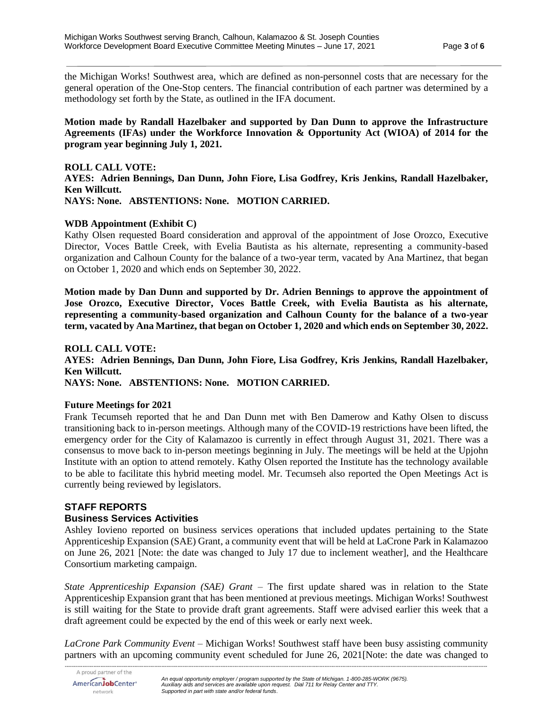the Michigan Works! Southwest area, which are defined as non-personnel costs that are necessary for the general operation of the One-Stop centers. The financial contribution of each partner was determined by a methodology set forth by the State, as outlined in the IFA document.

**Motion made by Randall Hazelbaker and supported by Dan Dunn to approve the Infrastructure Agreements (IFAs) under the Workforce Innovation & Opportunity Act (WIOA) of 2014 for the program year beginning July 1, 2021.**

**ROLL CALL VOTE: AYES: Adrien Bennings, Dan Dunn, John Fiore, Lisa Godfrey, Kris Jenkins, Randall Hazelbaker, Ken Willcutt. NAYS: None. ABSTENTIONS: None. MOTION CARRIED.**

#### **WDB Appointment (Exhibit C)**

Kathy Olsen requested Board consideration and approval of the appointment of Jose Orozco, Executive Director, Voces Battle Creek, with Evelia Bautista as his alternate, representing a community-based organization and Calhoun County for the balance of a two-year term, vacated by Ana Martinez, that began on October 1, 2020 and which ends on September 30, 2022.

**Motion made by Dan Dunn and supported by Dr. Adrien Bennings to approve the appointment of Jose Orozco, Executive Director, Voces Battle Creek, with Evelia Bautista as his alternate, representing a community-based organization and Calhoun County for the balance of a two-year term, vacated by Ana Martinez, that began on October 1, 2020 and which ends on September 30, 2022.**

#### **ROLL CALL VOTE:**

**AYES: Adrien Bennings, Dan Dunn, John Fiore, Lisa Godfrey, Kris Jenkins, Randall Hazelbaker, Ken Willcutt.**

**NAYS: None. ABSTENTIONS: None. MOTION CARRIED.**

#### **Future Meetings for 2021**

Frank Tecumseh reported that he and Dan Dunn met with Ben Damerow and Kathy Olsen to discuss transitioning back to in-person meetings. Although many of the COVID-19 restrictions have been lifted, the emergency order for the City of Kalamazoo is currently in effect through August 31, 2021. There was a consensus to move back to in-person meetings beginning in July. The meetings will be held at the Upjohn Institute with an option to attend remotely. Kathy Olsen reported the Institute has the technology available to be able to facilitate this hybrid meeting model. Mr. Tecumseh also reported the Open Meetings Act is currently being reviewed by legislators.

### **STAFF REPORTS**

### **Business Services Activities**

Ashley Iovieno reported on business services operations that included updates pertaining to the State Apprenticeship Expansion (SAE) Grant, a community event that will be held at LaCrone Park in Kalamazoo on June 26, 2021 [Note: the date was changed to July 17 due to inclement weather], and the Healthcare Consortium marketing campaign.

*State Apprenticeship Expansion (SAE) Grant* – The first update shared was in relation to the State Apprenticeship Expansion grant that has been mentioned at previous meetings. Michigan Works! Southwest is still waiting for the State to provide draft grant agreements. Staff were advised earlier this week that a draft agreement could be expected by the end of this week or early next week.

*-------------------------------------------------------------------------------------------------------------------------------------------------------------------------------------------------------------------------------------------- LaCrone Park Community Event* – Michigan Works! Southwest staff have been busy assisting community partners with an upcoming community event scheduled for June 26, 2021[Note: the date was changed to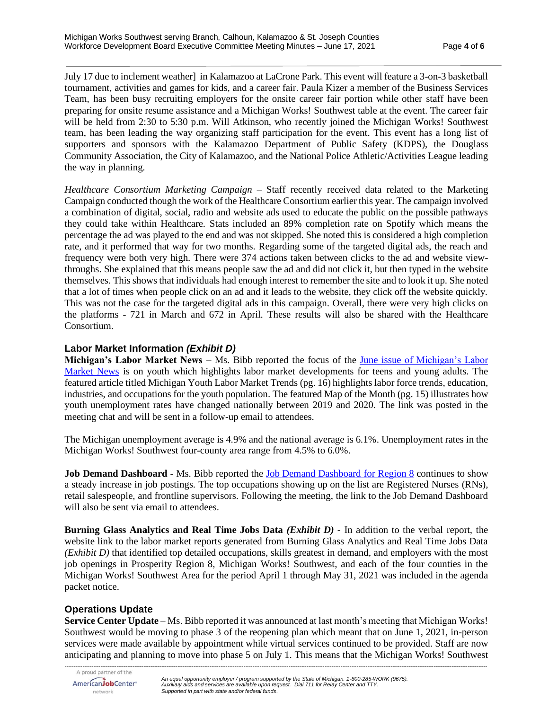July 17 due to inclement weather] in Kalamazoo at LaCrone Park. This event will feature a 3-on-3 basketball tournament, activities and games for kids, and a career fair. Paula Kizer a member of the Business Services Team, has been busy recruiting employers for the onsite career fair portion while other staff have been preparing for onsite resume assistance and a Michigan Works! Southwest table at the event. The career fair will be held from 2:30 to 5:30 p.m. Will Atkinson, who recently joined the Michigan Works! Southwest team, has been leading the way organizing staff participation for the event. This event has a long list of supporters and sponsors with the Kalamazoo Department of Public Safety (KDPS), the Douglass Community Association, the City of Kalamazoo, and the National Police Athletic/Activities League leading the way in planning.

*Healthcare Consortium Marketing Campaign* – Staff recently received data related to the Marketing Campaign conducted though the work of the Healthcare Consortium earlier this year. The campaign involved a combination of digital, social, radio and website ads used to educate the public on the possible pathways they could take within Healthcare. Stats included an 89% completion rate on Spotify which means the percentage the ad was played to the end and was not skipped. She noted this is considered a high completion rate, and it performed that way for two months. Regarding some of the targeted digital ads, the reach and frequency were both very high. There were 374 actions taken between clicks to the ad and website viewthroughs. She explained that this means people saw the ad and did not click it, but then typed in the website themselves. This shows that individuals had enough interest to remember the site and to look it up. She noted that a lot of times when people click on an ad and it leads to the website, they click off the website quickly. This was not the case for the targeted digital ads in this campaign. Overall, there were very high clicks on the platforms - 721 in March and 672 in April. These results will also be shared with the Healthcare Consortium.

## **Labor Market Information** *(Exhibit D)*

**Michigan's Labor Market News –** Ms. Bibb reported the focus of the June issue [of Michigan's Labor](https://milmi.org/Portals/198/publications/News/LMN/LMN_0621.pdf?ver=2021-06-04-131855-457)  [Market News](https://milmi.org/Portals/198/publications/News/LMN/LMN_0621.pdf?ver=2021-06-04-131855-457) is on youth which highlights labor market developments for teens and young adults. The featured article titled Michigan Youth Labor Market Trends (pg. 16) highlights labor force trends, education, industries, and occupations for the youth population. The featured Map of the Month (pg. 15) illustrates how youth unemployment rates have changed nationally between 2019 and 2020. The link was posted in the meeting chat and will be sent in a follow-up email to attendees.

The Michigan unemployment average is 4.9% and the national average is 6.1%. Unemployment rates in the Michigan Works! Southwest four-county area range from 4.5% to 6.0%.

**Job Demand Dashboard** - Ms. Bibb reported the [Job Demand Dashboard for Region 8](https://app.powerbigov.us/view?r=eyJrIjoiOTc1OWQ5OWItODVmYi00Y2IyLWExMjYtYjkzOTc0OWZlMTcwIiwidCI6ImQ1ZmI3MDg3LTM3NzctNDJhZC05NjZhLTg5MmVmNDcyMjVkMSJ9&pageName=ReportSection3ea51ac6802356c9f464) continues to show a steady increase in job postings. The top occupations showing up on the list are Registered Nurses (RNs), retail salespeople, and frontline supervisors. Following the meeting, the link to the Job Demand Dashboard will also be sent via email to attendees.

**Burning Glass Analytics and Real Time Jobs Data** *(Exhibit D) -* In addition to the verbal report, the website link to the labor market reports generated from Burning Glass Analytics and Real Time Jobs Data *(Exhibit D)* that identified top detailed occupations, skills greatest in demand, and employers with the most job openings in Prosperity Region 8, Michigan Works! Southwest, and each of the four counties in the Michigan Works! Southwest Area for the period April 1 through May 31, 2021 was included in the agenda packet notice.

## **Operations Update**

**Service Center Update** – Ms. Bibb reported it was announced at last month's meeting that Michigan Works! Southwest would be moving to phase 3 of the reopening plan which meant that on June 1, 2021, in-person services were made available by appointment while virtual services continued to be provided. Staff are now anticipating and planning to move into phase 5 on July 1. This means that the Michigan Works! Southwest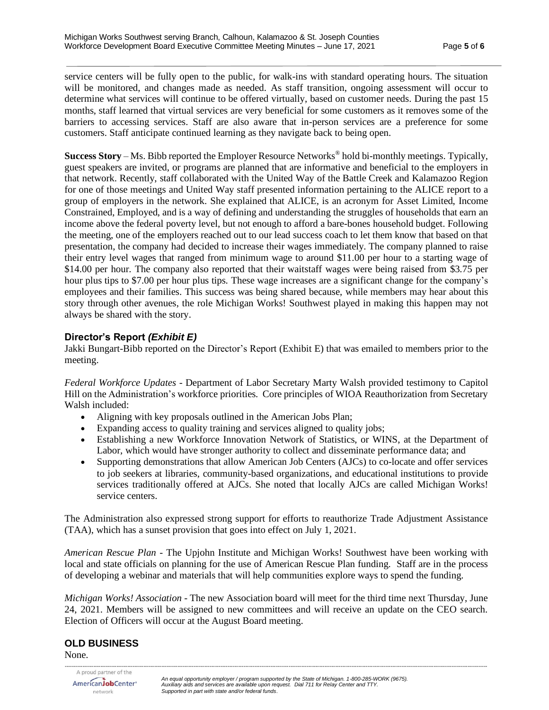service centers will be fully open to the public, for walk-ins with standard operating hours. The situation will be monitored, and changes made as needed. As staff transition, ongoing assessment will occur to determine what services will continue to be offered virtually, based on customer needs. During the past 15 months, staff learned that virtual services are very beneficial for some customers as it removes some of the barriers to accessing services. Staff are also aware that in-person services are a preference for some customers. Staff anticipate continued learning as they navigate back to being open.

**Success Story** – Ms. Bibb reported the Employer Resource Networks® hold bi-monthly meetings. Typically, guest speakers are invited, or programs are planned that are informative and beneficial to the employers in that network. Recently, staff collaborated with the United Way of the Battle Creek and Kalamazoo Region for one of those meetings and United Way staff presented information pertaining to the ALICE report to a group of employers in the network. She explained that ALICE, is an acronym for Asset Limited, Income Constrained, Employed, and is a way of defining and understanding the struggles of households that earn an income above the federal poverty level, but not enough to afford a bare-bones household budget. Following the meeting, one of the employers reached out to our lead success coach to let them know that based on that presentation, the company had decided to increase their wages immediately. The company planned to raise their entry level wages that ranged from minimum wage to around \$11.00 per hour to a starting wage of \$14.00 per hour. The company also reported that their waitstaff wages were being raised from \$3.75 per hour plus tips to \$7.00 per hour plus tips. These wage increases are a significant change for the company's employees and their families. This success was being shared because, while members may hear about this story through other avenues, the role Michigan Works! Southwest played in making this happen may not always be shared with the story.

# **Director's Report** *(Exhibit E)*

Jakki Bungart-Bibb reported on the Director's Report (Exhibit E) that was emailed to members prior to the meeting.

*Federal Workforce Updates -* Department of Labor Secretary Marty Walsh provided testimony to Capitol Hill on the Administration's workforce priorities. Core principles of WIOA Reauthorization from Secretary Walsh included:

- Aligning with key proposals outlined in the American Jobs Plan;
- Expanding access to quality training and services aligned to quality jobs;
- Establishing a new Workforce Innovation Network of Statistics, or WINS, at the Department of Labor, which would have stronger authority to collect and disseminate performance data; and
- Supporting demonstrations that allow American Job Centers (AJCs) to co-locate and offer services to job seekers at libraries, community-based organizations, and educational institutions to provide services traditionally offered at AJCs. She noted that locally AJCs are called Michigan Works! service centers.

The Administration also expressed strong support for efforts to reauthorize Trade Adjustment Assistance (TAA), which has a sunset provision that goes into effect on July 1, 2021.

*American Rescue Plan -* The Upjohn Institute and Michigan Works! Southwest have been working with local and state officials on planning for the use of American Rescue Plan funding. Staff are in the process of developing a webinar and materials that will help communities explore ways to spend the funding.

*Michigan Works! Association -* The new Association board will meet for the third time next Thursday, June 24, 2021. Members will be assigned to new committees and will receive an update on the CEO search. Election of Officers will occur at the August Board meeting.

# **OLD BUSINESS**

None.